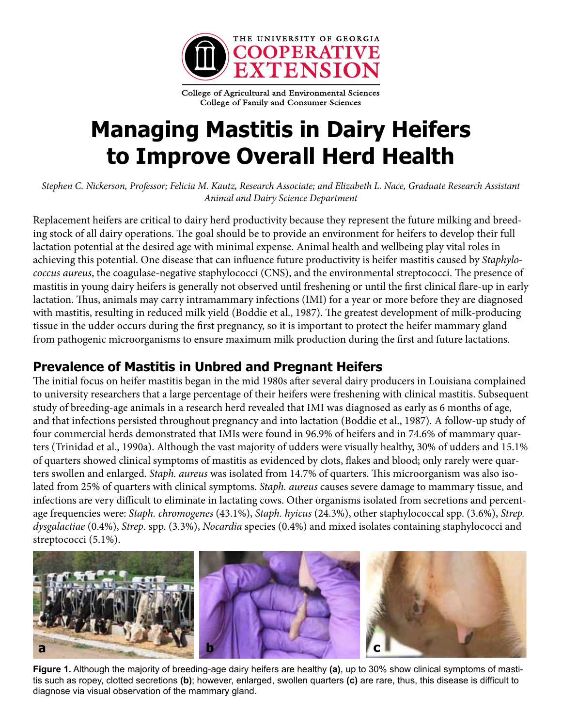

College of Agricultural and Environmental Sciences College of Family and Consumer Sciences

# **Managing Mastitis in Dairy Heifers to Improve Overall Herd Health**

*Stephen C. Nickerson, Professor; Felicia M. Kautz, Research Associate; and Elizabeth L. Nace, Graduate Research Assistant Animal and Dairy Science Department*

Replacement heifers are critical to dairy herd productivity because they represent the future milking and breeding stock of all dairy operations. The goal should be to provide an environment for heifers to develop their full lactation potential at the desired age with minimal expense. Animal health and wellbeing play vital roles in achieving this potential. One disease that can influence future productivity is heifer mastitis caused by *Staphylococcus aureus*, the coagulase-negative staphylococci (CNS), and the environmental streptococci. The presence of mastitis in young dairy heifers is generally not observed until freshening or until the first clinical flare-up in early lactation. Thus, animals may carry intramammary infections (IMI) for a year or more before they are diagnosed with mastitis, resulting in reduced milk yield (Boddie et al., 1987). The greatest development of milk-producing tissue in the udder occurs during the first pregnancy, so it is important to protect the heifer mammary gland from pathogenic microorganisms to ensure maximum milk production during the first and future lactations.

# **Prevalence of Mastitis in Unbred and Pregnant Heifers**

The initial focus on heifer mastitis began in the mid 1980s after several dairy producers in Louisiana complained to university researchers that a large percentage of their heifers were freshening with clinical mastitis. Subsequent study of breeding-age animals in a research herd revealed that IMI was diagnosed as early as 6 months of age, and that infections persisted throughout pregnancy and into lactation (Boddie et al., 1987). A follow-up study of four commercial herds demonstrated that IMIs were found in 96.9% of heifers and in 74.6% of mammary quarters (Trinidad et al., 1990a). Although the vast majority of udders were visually healthy, 30% of udders and 15.1% of quarters showed clinical symptoms of mastitis as evidenced by clots, flakes and blood; only rarely were quarters swollen and enlarged. *Staph. aureus* was isolated from 14.7% of quarters. This microorganism was also isolated from 25% of quarters with clinical symptoms. *Staph. aureus* causes severe damage to mammary tissue, and infections are very difficult to eliminate in lactating cows. Other organisms isolated from secretions and percentage frequencies were: *Staph. chromogenes* (43.1%), *Staph. hyicus* (24.3%), other staphylococcal spp. (3.6%), *Strep. dysgalactiae* (0.4%), *Strep*. spp. (3.3%), *Nocardia* species (0.4%) and mixed isolates containing staphylococci and streptococci (5.1%).



**Figure 1.** Although the majority of breeding-age dairy heifers are healthy **(a)**, up to 30% show clinical symptoms of mastitis such as ropey, clotted secretions **(b)**; however, enlarged, swollen quarters **(c)** are rare, thus, this disease is difficult to diagnose via visual observation of the mammary gland.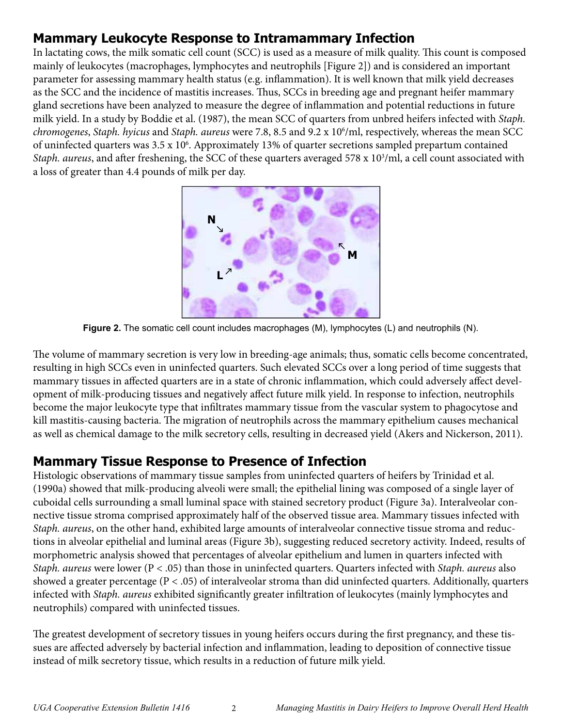# **Mammary Leukocyte Response to Intramammary Infection**

In lactating cows, the milk somatic cell count (SCC) is used as a measure of milk quality. This count is composed mainly of leukocytes (macrophages, lymphocytes and neutrophils [Figure 2]) and is considered an important parameter for assessing mammary health status (e.g. inflammation). It is well known that milk yield decreases as the SCC and the incidence of mastitis increases. Thus, SCCs in breeding age and pregnant heifer mammary gland secretions have been analyzed to measure the degree of inflammation and potential reductions in future milk yield. In a study by Boddie et al. (1987), the mean SCC of quarters from unbred heifers infected with *Staph. chromogenes*, *Staph. hyicus* and *Staph. aureus* were 7.8, 8.5 and 9.2 x 106 /ml, respectively, whereas the mean SCC of uninfected quarters was 3.5 x 10<sup>6</sup>. Approximately 13% of quarter secretions sampled prepartum contained Staph. aureus, and after freshening, the SCC of these quarters averaged 578 x 10<sup>3</sup>/ml, a cell count associated with a loss of greater than 4.4 pounds of milk per day.



**Figure 2.** The somatic cell count includes macrophages (M), lymphocytes (L) and neutrophils (N).

The volume of mammary secretion is very low in breeding-age animals; thus, somatic cells become concentrated, resulting in high SCCs even in uninfected quarters. Such elevated SCCs over a long period of time suggests that mammary tissues in affected quarters are in a state of chronic inflammation, which could adversely affect development of milk-producing tissues and negatively affect future milk yield. In response to infection, neutrophils become the major leukocyte type that infiltrates mammary tissue from the vascular system to phagocytose and kill mastitis-causing bacteria. The migration of neutrophils across the mammary epithelium causes mechanical as well as chemical damage to the milk secretory cells, resulting in decreased yield (Akers and Nickerson, 2011).

### **Mammary Tissue Response to Presence of Infection**

Histologic observations of mammary tissue samples from uninfected quarters of heifers by Trinidad et al. (1990a) showed that milk-producing alveoli were small; the epithelial lining was composed of a single layer of cuboidal cells surrounding a small luminal space with stained secretory product (Figure 3a). Interalveolar connective tissue stroma comprised approximately half of the observed tissue area. Mammary tissues infected with *Staph. aureus*, on the other hand, exhibited large amounts of interalveolar connective tissue stroma and reductions in alveolar epithelial and luminal areas (Figure 3b), suggesting reduced secretory activity. Indeed, results of morphometric analysis showed that percentages of alveolar epithelium and lumen in quarters infected with *Staph. aureus* were lower (P < .05) than those in uninfected quarters. Quarters infected with *Staph. aureus* also showed a greater percentage (P < .05) of interalveolar stroma than did uninfected quarters. Additionally, quarters infected with *Staph. aureus* exhibited significantly greater infiltration of leukocytes (mainly lymphocytes and neutrophils) compared with uninfected tissues.

The greatest development of secretory tissues in young heifers occurs during the first pregnancy, and these tissues are affected adversely by bacterial infection and inflammation, leading to deposition of connective tissue instead of milk secretory tissue, which results in a reduction of future milk yield.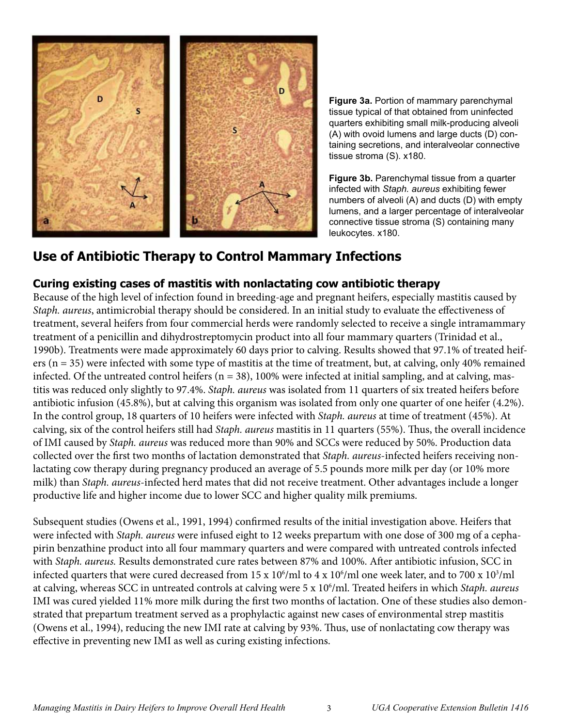

**Figure 3a.** Portion of mammary parenchymal tissue typical of that obtained from uninfected quarters exhibiting small milk-producing alveoli (A) with ovoid lumens and large ducts (D) containing secretions, and interalveolar connective tissue stroma (S). x180.

**Figure 3b.** Parenchymal tissue from a quarter infected with *Staph. aureus* exhibiting fewer numbers of alveoli (A) and ducts (D) with empty lumens, and a larger percentage of interalveolar connective tissue stroma (S) containing many leukocytes. x180.

# **Use of Antibiotic Therapy to Control Mammary Infections**

#### **Curing existing cases of mastitis with nonlactating cow antibiotic therapy**

Because of the high level of infection found in breeding-age and pregnant heifers, especially mastitis caused by *Staph. aureus*, antimicrobial therapy should be considered. In an initial study to evaluate the effectiveness of treatment, several heifers from four commercial herds were randomly selected to receive a single intramammary treatment of a penicillin and dihydrostreptomycin product into all four mammary quarters (Trinidad et al., 1990b). Treatments were made approximately 60 days prior to calving. Results showed that 97.1% of treated heifers (n = 35) were infected with some type of mastitis at the time of treatment, but, at calving, only 40% remained infected. Of the untreated control heifers ( $n = 38$ ), 100% were infected at initial sampling, and at calving, mastitis was reduced only slightly to 97.4%. *Staph. aureus* was isolated from 11 quarters of six treated heifers before antibiotic infusion (45.8%), but at calving this organism was isolated from only one quarter of one heifer (4.2%). In the control group, 18 quarters of 10 heifers were infected with *Staph. aureus* at time of treatment (45%). At calving, six of the control heifers still had *Staph. aureus* mastitis in 11 quarters (55%). Thus, the overall incidence of IMI caused by *Staph. aureus* was reduced more than 90% and SCCs were reduced by 50%. Production data collected over the first two months of lactation demonstrated that *Staph. aureus*-infected heifers receiving nonlactating cow therapy during pregnancy produced an average of 5.5 pounds more milk per day (or 10% more milk) than *Staph. aureus*-infected herd mates that did not receive treatment. Other advantages include a longer productive life and higher income due to lower SCC and higher quality milk premiums.

Subsequent studies (Owens et al., 1991, 1994) confirmed results of the initial investigation above. Heifers that were infected with *Staph. aureus* were infused eight to 12 weeks prepartum with one dose of 300 mg of a cephapirin benzathine product into all four mammary quarters and were compared with untreated controls infected with *Staph. aureus.* Results demonstrated cure rates between 87% and 100%. After antibiotic infusion, SCC in infected quarters that were cured decreased from 15 x  $10^6\rm /ml$  to 4 x  $10^6\rm /ml$  one week later, and to 700 x  $10^3\rm /ml$ at calving, whereas SCC in untreated controls at calving were 5 x 106 /ml. Treated heifers in which *Staph. aureus* IMI was cured yielded 11% more milk during the first two months of lactation. One of these studies also demonstrated that prepartum treatment served as a prophylactic against new cases of environmental strep mastitis (Owens et al., 1994), reducing the new IMI rate at calving by 93%. Thus, use of nonlactating cow therapy was effective in preventing new IMI as well as curing existing infections.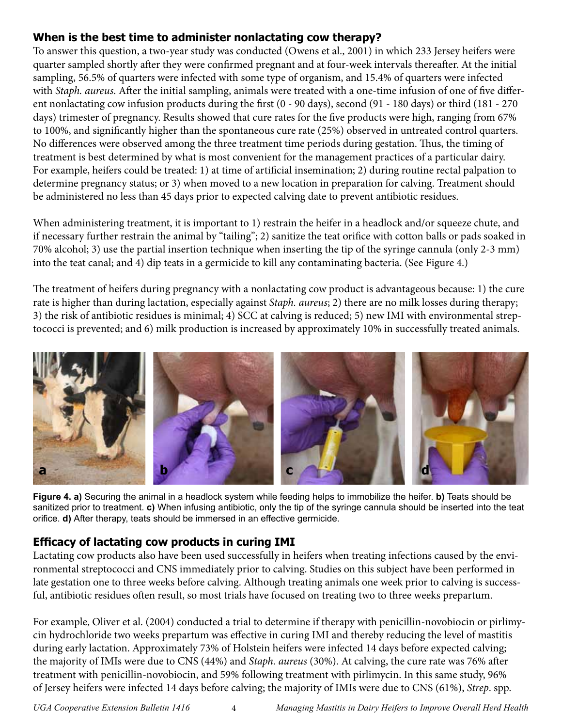#### **When is the best time to administer nonlactating cow therapy?**

To answer this question, a two-year study was conducted (Owens et al., 2001) in which 233 Jersey heifers were quarter sampled shortly after they were confirmed pregnant and at four-week intervals thereafter. At the initial sampling, 56.5% of quarters were infected with some type of organism, and 15.4% of quarters were infected with *Staph. aureus*. After the initial sampling, animals were treated with a one-time infusion of one of five different nonlactating cow infusion products during the first (0 - 90 days), second (91 - 180 days) or third (181 - 270 days) trimester of pregnancy. Results showed that cure rates for the five products were high, ranging from 67% to 100%, and significantly higher than the spontaneous cure rate (25%) observed in untreated control quarters. No differences were observed among the three treatment time periods during gestation. Thus, the timing of treatment is best determined by what is most convenient for the management practices of a particular dairy. For example, heifers could be treated: 1) at time of artificial insemination; 2) during routine rectal palpation to determine pregnancy status; or 3) when moved to a new location in preparation for calving. Treatment should be administered no less than 45 days prior to expected calving date to prevent antibiotic residues.

When administering treatment, it is important to 1) restrain the heifer in a headlock and/or squeeze chute, and if necessary further restrain the animal by "tailing"; 2) sanitize the teat orifice with cotton balls or pads soaked in 70% alcohol; 3) use the partial insertion technique when inserting the tip of the syringe cannula (only 2-3 mm) into the teat canal; and 4) dip teats in a germicide to kill any contaminating bacteria. (See Figure 4.)

The treatment of heifers during pregnancy with a nonlactating cow product is advantageous because: 1) the cure rate is higher than during lactation, especially against *Staph. aureus*; 2) there are no milk losses during therapy; 3) the risk of antibiotic residues is minimal; 4) SCC at calving is reduced; 5) new IMI with environmental streptococci is prevented; and 6) milk production is increased by approximately 10% in successfully treated animals.



**Figure 4. a)** Securing the animal in a headlock system while feeding helps to immobilize the heifer. **b)** Teats should be sanitized prior to treatment. **c)** When infusing antibiotic, only the tip of the syringe cannula should be inserted into the teat orifice. **d)** After therapy, teats should be immersed in an effective germicide.

### **Efficacy of lactating cow products in curing IMI**

Lactating cow products also have been used successfully in heifers when treating infections caused by the environmental streptococci and CNS immediately prior to calving. Studies on this subject have been performed in late gestation one to three weeks before calving. Although treating animals one week prior to calving is successful, antibiotic residues often result, so most trials have focused on treating two to three weeks prepartum.

For example, Oliver et al. (2004) conducted a trial to determine if therapy with penicillin-novobiocin or pirlimycin hydrochloride two weeks prepartum was effective in curing IMI and thereby reducing the level of mastitis during early lactation. Approximately 73% of Holstein heifers were infected 14 days before expected calving; the majority of IMIs were due to CNS (44%) and *Staph. aureus* (30%). At calving, the cure rate was 76% after treatment with penicillin-novobiocin, and 59% following treatment with pirlimycin. In this same study, 96% of Jersey heifers were infected 14 days before calving; the majority of IMIs were due to CNS (61%), *Strep*. spp.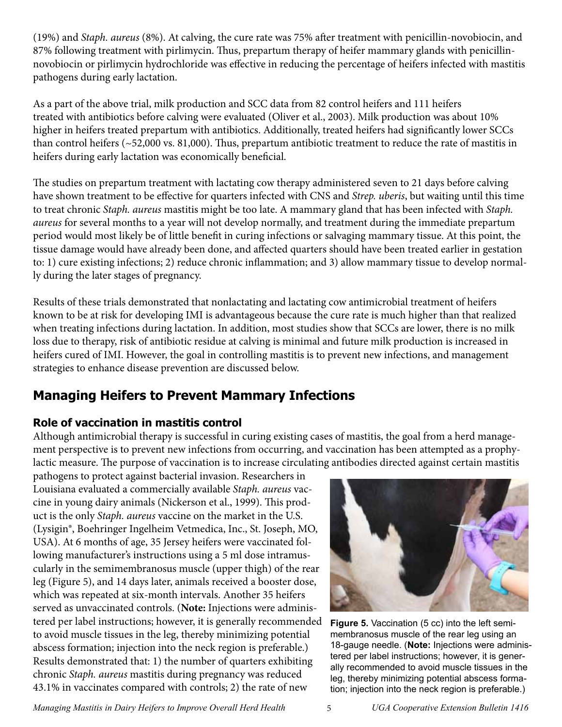(19%) and *Staph. aureus* (8%). At calving, the cure rate was 75% after treatment with penicillin-novobiocin, and 87% following treatment with pirlimycin. Thus, prepartum therapy of heifer mammary glands with penicillinnovobiocin or pirlimycin hydrochloride was effective in reducing the percentage of heifers infected with mastitis pathogens during early lactation.

As a part of the above trial, milk production and SCC data from 82 control heifers and 111 heifers treated with antibiotics before calving were evaluated (Oliver et al., 2003). Milk production was about 10% higher in heifers treated prepartum with antibiotics. Additionally, treated heifers had significantly lower SCCs than control heifers (~52,000 vs. 81,000). Thus, prepartum antibiotic treatment to reduce the rate of mastitis in heifers during early lactation was economically beneficial.

The studies on prepartum treatment with lactating cow therapy administered seven to 21 days before calving have shown treatment to be effective for quarters infected with CNS and *Strep. uberis*, but waiting until this time to treat chronic *Staph. aureus* mastitis might be too late. A mammary gland that has been infected with *Staph. aureus* for several months to a year will not develop normally, and treatment during the immediate prepartum period would most likely be of little benefit in curing infections or salvaging mammary tissue. At this point, the tissue damage would have already been done, and affected quarters should have been treated earlier in gestation to: 1) cure existing infections; 2) reduce chronic inflammation; and 3) allow mammary tissue to develop normally during the later stages of pregnancy.

Results of these trials demonstrated that nonlactating and lactating cow antimicrobial treatment of heifers known to be at risk for developing IMI is advantageous because the cure rate is much higher than that realized when treating infections during lactation. In addition, most studies show that SCCs are lower, there is no milk loss due to therapy, risk of antibiotic residue at calving is minimal and future milk production is increased in heifers cured of IMI. However, the goal in controlling mastitis is to prevent new infections, and management strategies to enhance disease prevention are discussed below.

# **Managing Heifers to Prevent Mammary Infections**

### **Role of vaccination in mastitis control**

Although antimicrobial therapy is successful in curing existing cases of mastitis, the goal from a herd management perspective is to prevent new infections from occurring, and vaccination has been attempted as a prophylactic measure. The purpose of vaccination is to increase circulating antibodies directed against certain mastitis

pathogens to protect against bacterial invasion. Researchers in Louisiana evaluated a commercially available *Staph. aureus* vaccine in young dairy animals (Nickerson et al., 1999). This product is the only *Staph. aureus* vaccine on the market in the U.S. (Lysigin®, Boehringer Ingelheim Vetmedica, Inc., St. Joseph, MO, USA). At 6 months of age, 35 Jersey heifers were vaccinated following manufacturer's instructions using a 5 ml dose intramuscularly in the semimembranosus muscle (upper thigh) of the rear leg (Figure 5), and 14 days later, animals received a booster dose, which was repeated at six-month intervals. Another 35 heifers served as unvaccinated controls. (**Note:** Injections were administered per label instructions; however, it is generally recommended to avoid muscle tissues in the leg, thereby minimizing potential abscess formation; injection into the neck region is preferable.) Results demonstrated that: 1) the number of quarters exhibiting chronic *Staph. aureus* mastitis during pregnancy was reduced 43.1% in vaccinates compared with controls; 2) the rate of new



**Figure 5.** Vaccination (5 cc) into the left semimembranosus muscle of the rear leg using an 18-gauge needle. (**Note:** Injections were administered per label instructions; however, it is generally recommended to avoid muscle tissues in the leg, thereby minimizing potential abscess formation; injection into the neck region is preferable.)

*Managing Mastitis in Dairy Heifers to Improve Overall Herd Health* 5 *UGA Cooperative Extension Bulletin 1416*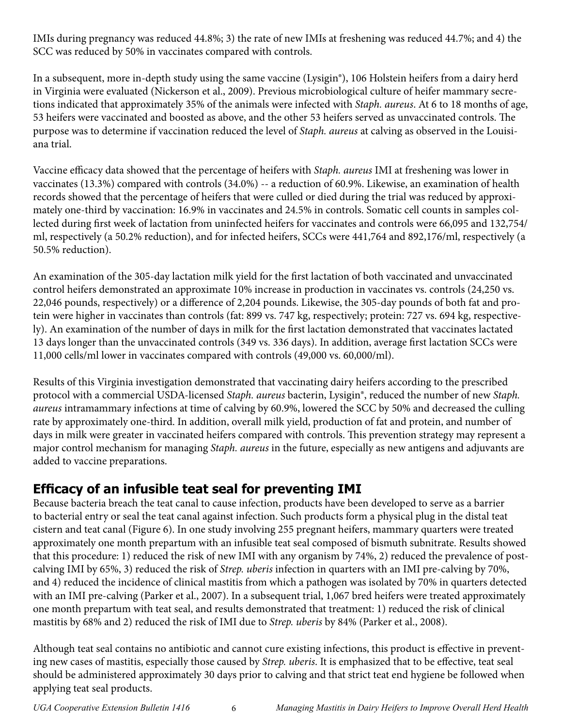IMIs during pregnancy was reduced 44.8%; 3) the rate of new IMIs at freshening was reduced 44.7%; and 4) the SCC was reduced by 50% in vaccinates compared with controls.

In a subsequent, more in-depth study using the same vaccine (Lysigin®), 106 Holstein heifers from a dairy herd in Virginia were evaluated (Nickerson et al., 2009). Previous microbiological culture of heifer mammary secretions indicated that approximately 35% of the animals were infected with *Staph. aureus*. At 6 to 18 months of age, 53 heifers were vaccinated and boosted as above, and the other 53 heifers served as unvaccinated controls. The purpose was to determine if vaccination reduced the level of *Staph. aureus* at calving as observed in the Louisiana trial.

Vaccine efficacy data showed that the percentage of heifers with *Staph. aureus* IMI at freshening was lower in vaccinates (13.3%) compared with controls (34.0%) -- a reduction of 60.9%. Likewise, an examination of health records showed that the percentage of heifers that were culled or died during the trial was reduced by approximately one-third by vaccination: 16.9% in vaccinates and 24.5% in controls. Somatic cell counts in samples collected during first week of lactation from uninfected heifers for vaccinates and controls were 66,095 and 132,754/ ml, respectively (a 50.2% reduction), and for infected heifers, SCCs were 441,764 and 892,176/ml, respectively (a 50.5% reduction).

An examination of the 305-day lactation milk yield for the first lactation of both vaccinated and unvaccinated control heifers demonstrated an approximate 10% increase in production in vaccinates vs. controls (24,250 vs. 22,046 pounds, respectively) or a difference of 2,204 pounds. Likewise, the 305-day pounds of both fat and protein were higher in vaccinates than controls (fat: 899 vs. 747 kg, respectively; protein: 727 vs. 694 kg, respectively). An examination of the number of days in milk for the first lactation demonstrated that vaccinates lactated 13 days longer than the unvaccinated controls (349 vs. 336 days). In addition, average first lactation SCCs were 11,000 cells/ml lower in vaccinates compared with controls (49,000 vs. 60,000/ml).

Results of this Virginia investigation demonstrated that vaccinating dairy heifers according to the prescribed protocol with a commercial USDA-licensed *Staph. aureus* bacterin, Lysigin®, reduced the number of new *Staph. aureus* intramammary infections at time of calving by 60.9%, lowered the SCC by 50% and decreased the culling rate by approximately one-third. In addition, overall milk yield, production of fat and protein, and number of days in milk were greater in vaccinated heifers compared with controls. This prevention strategy may represent a major control mechanism for managing *Staph. aureus* in the future, especially as new antigens and adjuvants are added to vaccine preparations.

# **Efficacy of an infusible teat seal for preventing IMI**

Because bacteria breach the teat canal to cause infection, products have been developed to serve as a barrier to bacterial entry or seal the teat canal against infection. Such products form a physical plug in the distal teat cistern and teat canal (Figure 6). In one study involving 255 pregnant heifers, mammary quarters were treated approximately one month prepartum with an infusible teat seal composed of bismuth subnitrate. Results showed that this procedure: 1) reduced the risk of new IMI with any organism by 74%, 2) reduced the prevalence of postcalving IMI by 65%, 3) reduced the risk of *Strep. uberis* infection in quarters with an IMI pre-calving by 70%, and 4) reduced the incidence of clinical mastitis from which a pathogen was isolated by 70% in quarters detected with an IMI pre-calving (Parker et al., 2007). In a subsequent trial, 1,067 bred heifers were treated approximately one month prepartum with teat seal, and results demonstrated that treatment: 1) reduced the risk of clinical mastitis by 68% and 2) reduced the risk of IMI due to *Strep. uberis* by 84% (Parker et al., 2008).

Although teat seal contains no antibiotic and cannot cure existing infections, this product is effective in preventing new cases of mastitis, especially those caused by *Strep. uberis*. It is emphasized that to be effective, teat seal should be administered approximately 30 days prior to calving and that strict teat end hygiene be followed when applying teat seal products.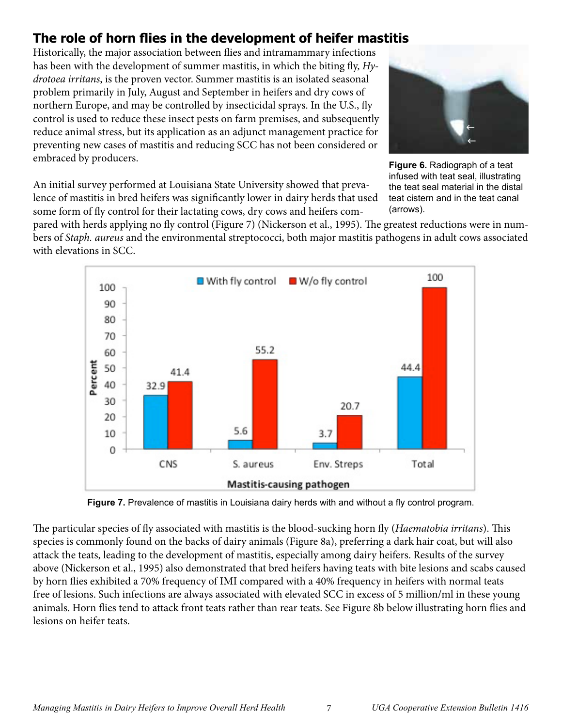# **The role of horn flies in the development of heifer mastitis**

Historically, the major association between flies and intramammary infections has been with the development of summer mastitis, in which the biting fly, *Hydrotoea irritans*, is the proven vector. Summer mastitis is an isolated seasonal problem primarily in July, August and September in heifers and dry cows of northern Europe, and may be controlled by insecticidal sprays. In the U.S., fly control is used to reduce these insect pests on farm premises, and subsequently reduce animal stress, but its application as an adjunct management practice for preventing new cases of mastitis and reducing SCC has not been considered or embraced by producers.



**Figure 6.** Radiograph of a teat infused with teat seal, illustrating the teat seal material in the distal teat cistern and in the teat canal (arrows).

An initial survey performed at Louisiana State University showed that prevalence of mastitis in bred heifers was significantly lower in dairy herds that used some form of fly control for their lactating cows, dry cows and heifers com-

pared with herds applying no fly control (Figure 7) (Nickerson et al., 1995). The greatest reductions were in numbers of *Staph. aureus* and the environmental streptococci, both major mastitis pathogens in adult cows associated with elevations in SCC.



**Figure 7.** Prevalence of mastitis in Louisiana dairy herds with and without a fly control program.

The particular species of fly associated with mastitis is the blood-sucking horn fly (*Haematobia irritans*). This species is commonly found on the backs of dairy animals (Figure 8a), preferring a dark hair coat, but will also attack the teats, leading to the development of mastitis, especially among dairy heifers. Results of the survey above (Nickerson et al., 1995) also demonstrated that bred heifers having teats with bite lesions and scabs caused by horn flies exhibited a 70% frequency of IMI compared with a 40% frequency in heifers with normal teats free of lesions. Such infections are always associated with elevated SCC in excess of 5 million/ml in these young animals. Horn flies tend to attack front teats rather than rear teats. See Figure 8b below illustrating horn flies and lesions on heifer teats.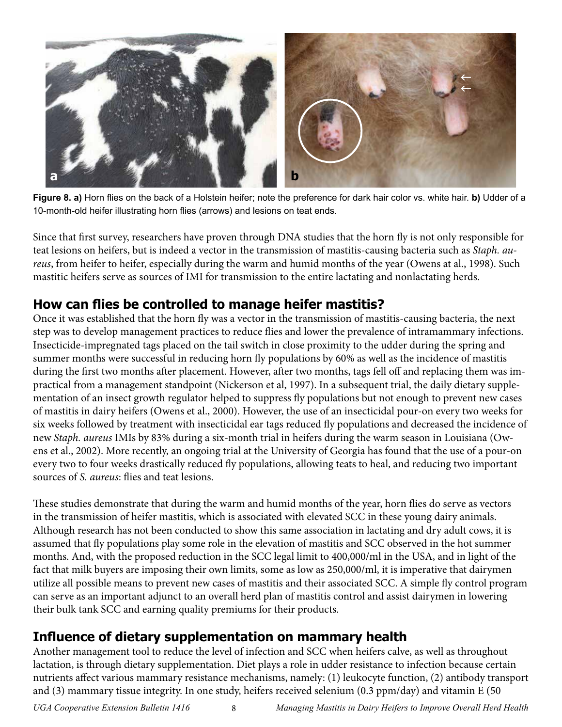

**Figure 8. a)** Horn flies on the back of a Holstein heifer; note the preference for dark hair color vs. white hair. **b)** Udder of a 10-month-old heifer illustrating horn flies (arrows) and lesions on teat ends.

Since that first survey, researchers have proven through DNA studies that the horn fly is not only responsible for teat lesions on heifers, but is indeed a vector in the transmission of mastitis-causing bacteria such as *Staph. aureus*, from heifer to heifer, especially during the warm and humid months of the year (Owens at al., 1998). Such mastitic heifers serve as sources of IMI for transmission to the entire lactating and nonlactating herds.

# **How can flies be controlled to manage heifer mastitis?**

Once it was established that the horn fly was a vector in the transmission of mastitis-causing bacteria, the next step was to develop management practices to reduce flies and lower the prevalence of intramammary infections. Insecticide-impregnated tags placed on the tail switch in close proximity to the udder during the spring and summer months were successful in reducing horn fly populations by 60% as well as the incidence of mastitis during the first two months after placement. However, after two months, tags fell off and replacing them was impractical from a management standpoint (Nickerson et al, 1997). In a subsequent trial, the daily dietary supplementation of an insect growth regulator helped to suppress fly populations but not enough to prevent new cases of mastitis in dairy heifers (Owens et al., 2000). However, the use of an insecticidal pour-on every two weeks for six weeks followed by treatment with insecticidal ear tags reduced fly populations and decreased the incidence of new *Staph. aureus* IMIs by 83% during a six-month trial in heifers during the warm season in Louisiana (Owens et al., 2002). More recently, an ongoing trial at the University of Georgia has found that the use of a pour-on every two to four weeks drastically reduced fly populations, allowing teats to heal, and reducing two important sources of *S. aureus*: flies and teat lesions.

These studies demonstrate that during the warm and humid months of the year, horn flies do serve as vectors in the transmission of heifer mastitis, which is associated with elevated SCC in these young dairy animals. Although research has not been conducted to show this same association in lactating and dry adult cows, it is assumed that fly populations play some role in the elevation of mastitis and SCC observed in the hot summer months. And, with the proposed reduction in the SCC legal limit to 400,000/ml in the USA, and in light of the fact that milk buyers are imposing their own limits, some as low as 250,000/ml, it is imperative that dairymen utilize all possible means to prevent new cases of mastitis and their associated SCC. A simple fly control program can serve as an important adjunct to an overall herd plan of mastitis control and assist dairymen in lowering their bulk tank SCC and earning quality premiums for their products.

# **Influence of dietary supplementation on mammary health**

Another management tool to reduce the level of infection and SCC when heifers calve, as well as throughout lactation, is through dietary supplementation. Diet plays a role in udder resistance to infection because certain nutrients affect various mammary resistance mechanisms, namely: (1) leukocyte function, (2) antibody transport and (3) mammary tissue integrity. In one study, heifers received selenium (0.3 ppm/day) and vitamin E (50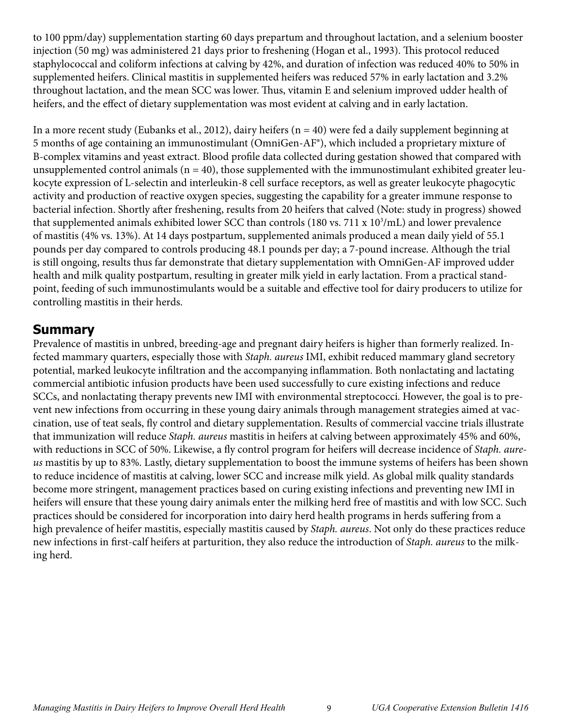to 100 ppm/day) supplementation starting 60 days prepartum and throughout lactation, and a selenium booster injection (50 mg) was administered 21 days prior to freshening (Hogan et al., 1993). This protocol reduced staphylococcal and coliform infections at calving by 42%, and duration of infection was reduced 40% to 50% in supplemented heifers. Clinical mastitis in supplemented heifers was reduced 57% in early lactation and 3.2% throughout lactation, and the mean SCC was lower. Thus, vitamin E and selenium improved udder health of heifers, and the effect of dietary supplementation was most evident at calving and in early lactation.

In a more recent study (Eubanks et al., 2012), dairy heifers (n = 40) were fed a daily supplement beginning at 5 months of age containing an immunostimulant (OmniGen-AF®), which included a proprietary mixture of B-complex vitamins and yeast extract. Blood profile data collected during gestation showed that compared with unsupplemented control animals ( $n = 40$ ), those supplemented with the immunostimulant exhibited greater leukocyte expression of L-selectin and interleukin-8 cell surface receptors, as well as greater leukocyte phagocytic activity and production of reactive oxygen species, suggesting the capability for a greater immune response to bacterial infection. Shortly after freshening, results from 20 heifers that calved (Note: study in progress) showed that supplemented animals exhibited lower SCC than controls (180 vs. 711 x 10<sup>3</sup>/mL) and lower prevalence of mastitis (4% vs. 13%). At 14 days postpartum, supplemented animals produced a mean daily yield of 55.1 pounds per day compared to controls producing 48.1 pounds per day; a 7-pound increase. Although the trial is still ongoing, results thus far demonstrate that dietary supplementation with OmniGen-AF improved udder health and milk quality postpartum, resulting in greater milk yield in early lactation. From a practical standpoint, feeding of such immunostimulants would be a suitable and effective tool for dairy producers to utilize for controlling mastitis in their herds.

# **Summary**

Prevalence of mastitis in unbred, breeding-age and pregnant dairy heifers is higher than formerly realized. Infected mammary quarters, especially those with *Staph. aureus* IMI, exhibit reduced mammary gland secretory potential, marked leukocyte infiltration and the accompanying inflammation. Both nonlactating and lactating commercial antibiotic infusion products have been used successfully to cure existing infections and reduce SCCs, and nonlactating therapy prevents new IMI with environmental streptococci. However, the goal is to prevent new infections from occurring in these young dairy animals through management strategies aimed at vaccination, use of teat seals, fly control and dietary supplementation. Results of commercial vaccine trials illustrate that immunization will reduce *Staph. aureus* mastitis in heifers at calving between approximately 45% and 60%, with reductions in SCC of 50%. Likewise, a fly control program for heifers will decrease incidence of *Staph. aureus* mastitis by up to 83%. Lastly, dietary supplementation to boost the immune systems of heifers has been shown to reduce incidence of mastitis at calving, lower SCC and increase milk yield. As global milk quality standards become more stringent, management practices based on curing existing infections and preventing new IMI in heifers will ensure that these young dairy animals enter the milking herd free of mastitis and with low SCC. Such practices should be considered for incorporation into dairy herd health programs in herds suffering from a high prevalence of heifer mastitis, especially mastitis caused by *Staph. aureus*. Not only do these practices reduce new infections in first-calf heifers at parturition, they also reduce the introduction of *Staph. aureus* to the milking herd.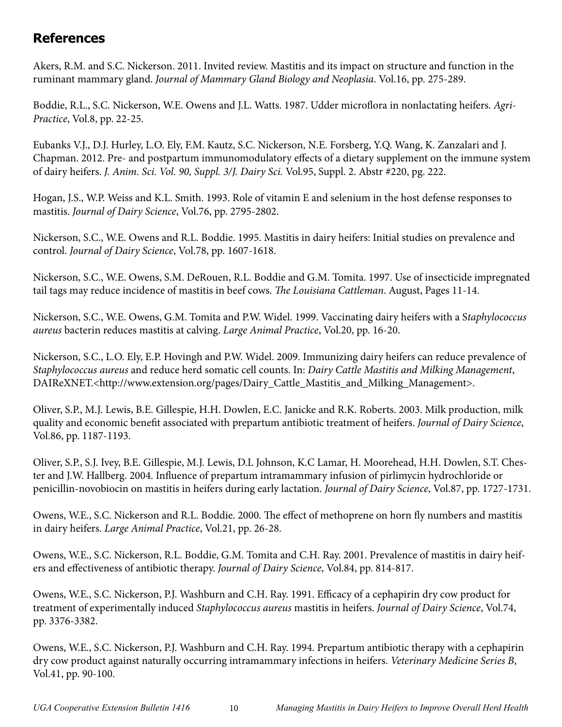# **References**

Akers, R.M. and S.C. Nickerson. 2011. Invited review. Mastitis and its impact on structure and function in the ruminant mammary gland. *Journal of Mammary Gland Biology and Neoplasia*. Vol.16, pp. 275-289.

Boddie, R.L., S.C. Nickerson, W.E. Owens and J.L. Watts. 1987. Udder microflora in nonlactating heifers. *Agri-Practice*, Vol.8, pp. 22-25.

Eubanks V.J., D.J. Hurley, L.O. Ely, F.M. Kautz, S.C. Nickerson, N.E. Forsberg, Y.Q. Wang, K. Zanzalari and J. Chapman. 2012. Pre- and postpartum immunomodulatory effects of a dietary supplement on the immune system of dairy heifers. *J. Anim. Sci. Vol. 90, Suppl. 3/J. Dairy Sci.* Vol.95, Suppl. 2. Abstr #220, pg. 222.

Hogan, J.S., W.P. Weiss and K.L. Smith. 1993. Role of vitamin E and selenium in the host defense responses to mastitis. *Journal of Dairy Science*, Vol.76, pp. 2795-2802.

Nickerson, S.C., W.E. Owens and R.L. Boddie. 1995. Mastitis in dairy heifers: Initial studies on prevalence and control. *Journal of Dairy Science*, Vol.78, pp. 1607-1618.

Nickerson, S.C., W.E. Owens, S.M. DeRouen, R.L. Boddie and G.M. Tomita. 1997. Use of insecticide impregnated tail tags may reduce incidence of mastitis in beef cows. *The Louisiana Cattleman*. August, Pages 11-14.

Nickerson, S.C., W.E. Owens, G.M. Tomita and P.W. Widel. 1999. Vaccinating dairy heifers with a S*taphylococcus aureus* bacterin reduces mastitis at calving. *Large Animal Practice*, Vol.20, pp. 16-20.

Nickerson, S.C., L.O. Ely, E.P. Hovingh and P.W. Widel. 2009. Immunizing dairy heifers can reduce prevalence of *Staphylococcus aureus* and reduce herd somatic cell counts. In: *Dairy Cattle Mastitis and Milking Management*, DAIReXNET.<http://www.extension.org/pages/Dairy\_Cattle\_Mastitis\_and\_Milking\_Management>.

Oliver, S.P., M.J. Lewis, B.E. Gillespie, H.H. Dowlen, E.C. Janicke and R.K. Roberts. 2003. Milk production, milk quality and economic benefit associated with prepartum antibiotic treatment of heifers. *Journal of Dairy Science*, Vol.86, pp. 1187-1193.

Oliver, S.P., S.J. Ivey, B.E. Gillespie, M.J. Lewis, D.L Johnson, K.C Lamar, H. Moorehead, H.H. Dowlen, S.T. Chester and J.W. Hallberg. 2004. Influence of prepartum intramammary infusion of pirlimycin hydrochloride or penicillin-novobiocin on mastitis in heifers during early lactation. *Journal of Dairy Science*, Vol.87, pp. 1727-1731.

Owens, W.E., S.C. Nickerson and R.L. Boddie. 2000. The effect of methoprene on horn fly numbers and mastitis in dairy heifers. *Large Animal Practice*, Vol.21, pp. 26-28.

Owens, W.E., S.C. Nickerson, R.L. Boddie, G.M. Tomita and C.H. Ray. 2001. Prevalence of mastitis in dairy heifers and effectiveness of antibiotic therapy. *Journal of Dairy Science*, Vol.84, pp. 814-817.

Owens, W.E., S.C. Nickerson, P.J. Washburn and C.H. Ray. 1991. Efficacy of a cephapirin dry cow product for treatment of experimentally induced *Staphylococcus aureus* mastitis in heifers. *Journal of Dairy Science*, Vol.74, pp. 3376-3382.

Owens, W.E., S.C. Nickerson, P.J. Washburn and C.H. Ray. 1994. Prepartum antibiotic therapy with a cephapirin dry cow product against naturally occurring intramammary infections in heifers. *Veterinary Medicine Series B*, Vol.41, pp. 90-100.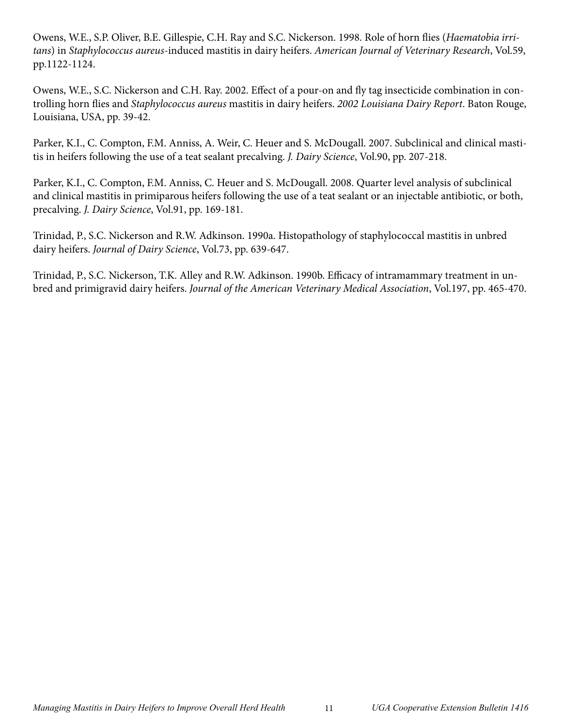Owens, W.E., S.P. Oliver, B.E. Gillespie, C.H. Ray and S.C. Nickerson. 1998. Role of horn flies (*Haematobia irritans*) in *Staphylococcus aureus*-induced mastitis in dairy heifers. *American Journal of Veterinary Research*, Vol.59, pp.1122-1124.

Owens, W.E., S.C. Nickerson and C.H. Ray. 2002. Effect of a pour-on and fly tag insecticide combination in controlling horn flies and *Staphylococcus aureus* mastitis in dairy heifers. *2002 Louisiana Dairy Report*. Baton Rouge, Louisiana, USA, pp. 39-42.

Parker, K.I., C. Compton, F.M. Anniss, A. Weir, C. Heuer and S. McDougall. 2007. Subclinical and clinical mastitis in heifers following the use of a teat sealant precalving. *J. Dairy Science*, Vol.90, pp. 207-218.

Parker, K.I., C. Compton, F.M. Anniss, C. Heuer and S. McDougall. 2008. Quarter level analysis of subclinical and clinical mastitis in primiparous heifers following the use of a teat sealant or an injectable antibiotic, or both, precalving. *J. Dairy Science*, Vol.91, pp. 169-181.

Trinidad, P., S.C. Nickerson and R.W. Adkinson. 1990a. Histopathology of staphylococcal mastitis in unbred dairy heifers. *Journal of Dairy Science*, Vol.73, pp. 639-647.

Trinidad, P., S.C. Nickerson, T.K. Alley and R.W. Adkinson. 1990b. Efficacy of intramammary treatment in unbred and primigravid dairy heifers. *Journal of the American Veterinary Medical Association*, Vol.197, pp. 465-470.